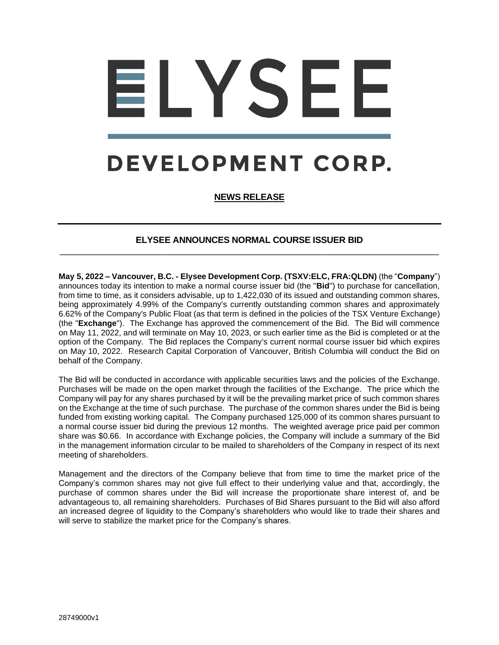## LYSEE DEVELOPMENT CORP.

**NEWS RELEASE**

## **ELYSEE ANNOUNCES NORMAL COURSE ISSUER BID** \_\_\_\_\_\_\_\_\_\_\_\_\_\_\_\_\_\_\_\_\_\_\_\_\_\_\_\_\_\_\_\_\_\_\_\_\_\_\_\_\_\_\_\_\_\_\_\_\_\_\_\_\_\_\_\_\_\_\_\_\_\_\_\_\_\_\_\_\_\_\_\_\_\_\_\_

**May 5, 2022 – Vancouver, B.C. - Elysee Development Corp. (TSXV:ELC, FRA:QLDN)** (the "**Company**") announces today its intention to make a normal course issuer bid (the "**Bid**") to purchase for cancellation, from time to time, as it considers advisable, up to 1,422,030 of its issued and outstanding common shares, being approximately 4.99% of the Company's currently outstanding common shares and approximately 6.62% of the Company's Public Float (as that term is defined in the policies of the TSX Venture Exchange) (the "**Exchange**"). The Exchange has approved the commencement of the Bid. The Bid will commence on May 11, 2022, and will terminate on May 10, 2023, or such earlier time as the Bid is completed or at the option of the Company. The Bid replaces the Company's current normal course issuer bid which expires on May 10, 2022. Research Capital Corporation of Vancouver, British Columbia will conduct the Bid on behalf of the Company.

The Bid will be conducted in accordance with applicable securities laws and the policies of the Exchange. Purchases will be made on the open market through the facilities of the Exchange. The price which the Company will pay for any shares purchased by it will be the prevailing market price of such common shares on the Exchange at the time of such purchase. The purchase of the common shares under the Bid is being funded from existing working capital. The Company purchased 125,000 of its common shares pursuant to a normal course issuer bid during the previous 12 months. The weighted average price paid per common share was \$0.66. In accordance with Exchange policies, the Company will include a summary of the Bid in the management information circular to be mailed to shareholders of the Company in respect of its next meeting of shareholders.

Management and the directors of the Company believe that from time to time the market price of the Company's common shares may not give full effect to their underlying value and that, accordingly, the purchase of common shares under the Bid will increase the proportionate share interest of, and be advantageous to, all remaining shareholders. Purchases of Bid Shares pursuant to the Bid will also afford an increased degree of liquidity to the Company's shareholders who would like to trade their shares and will serve to stabilize the market price for the Company's shares.